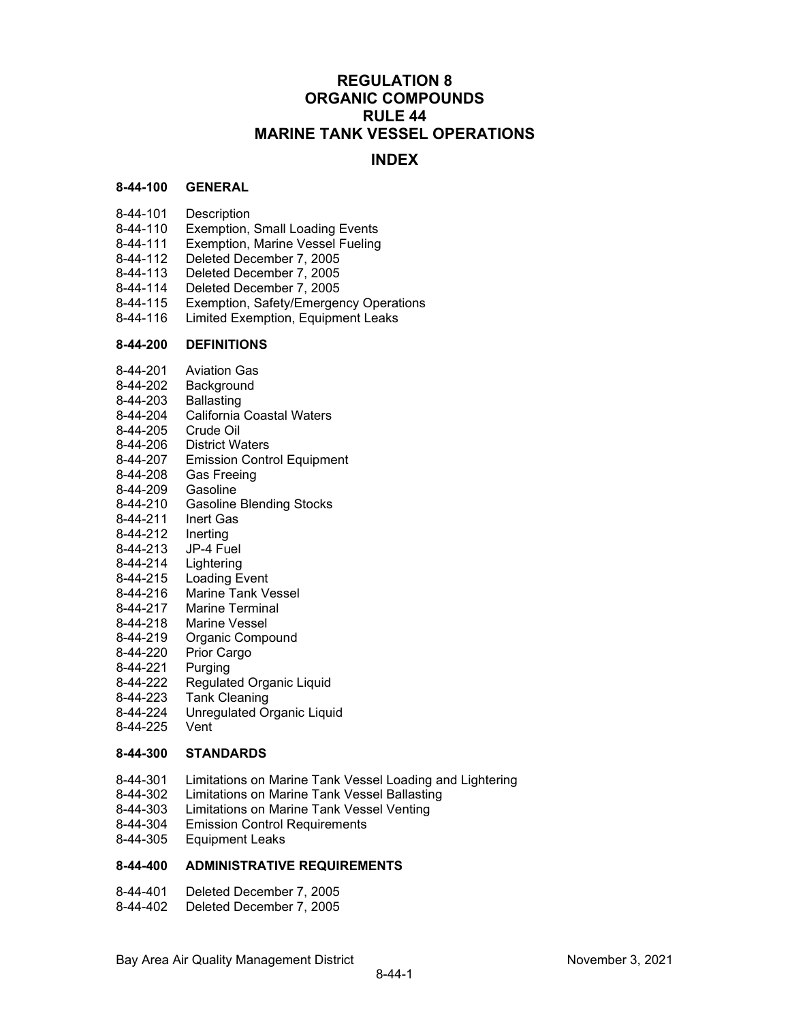## **REGULATION 8 ORGANIC COMPOUNDS RULE 44 MARINE TANK VESSEL OPERATIONS**

### **INDEX**

#### **8-44-100 GENERAL**

- 8-44-101 Description
- 8-44-110 Exemption, Small Loading Events
- 8-44-111 Exemption, Marine Vessel Fueling
- 8-44-112 Deleted December 7, 2005
- 8-44-113 Deleted December 7, 2005
- 8-44-114 Deleted December 7, 2005
- 8-44-115 Exemption, Safety/Emergency Operations
- 8-44-116 Limited Exemption, Equipment Leaks

#### **8-44-200 DEFINITIONS**

- 8-44-201 Aviation Gas
- 8-44-202 Background<br>8-44-203 Ballasting
- 8-44-203
- 8-44-204 California Coastal Waters
- 8-44-205 Crude Oil
- 8-44-206 District Waters
- 8-44-207 Emission Control Equipment
- 8-44-208 Gas Freeing
- 8-44-209 Gasoline
- 8-44-210 Gasoline Blending Stocks
- 8-44-211 Inert Gas
- 8-44-212 Inerting
- 8-44-213 JP-4 Fuel
- 8-44-214 Lightering
- 8-44-215 Loading Event
- 8-44-216 Marine Tank Vessel<br>8-44-217 Marine Terminal
- Marine Terminal
- 8-44-218 Marine Vessel
- 8-44-219 Organic Compound
- 8-44-220 Prior Cargo
- 8-44-221 Purging
- 8-44-222 Regulated Organic Liquid
- 8-44-223 Tank Cleaning
- 8-44-224 Unregulated Organic Liquid
- 8-44-225 Vent

#### **8-44-300 STANDARDS**

- 8-44-301 Limitations on Marine Tank Vessel Loading and Lightering
- 8-44-302 Limitations on Marine Tank Vessel Ballasting
- 8-44-303 Limitations on Marine Tank Vessel Venting<br>8-44-304 Emission Control Requirements
- **Emission Control Requirements**
- 8-44-305 Equipment Leaks

#### **8-44-400 ADMINISTRATIVE REQUIREMENTS**

- 8-44-401 Deleted December 7, 2005
- 8-44-402 Deleted December 7, 2005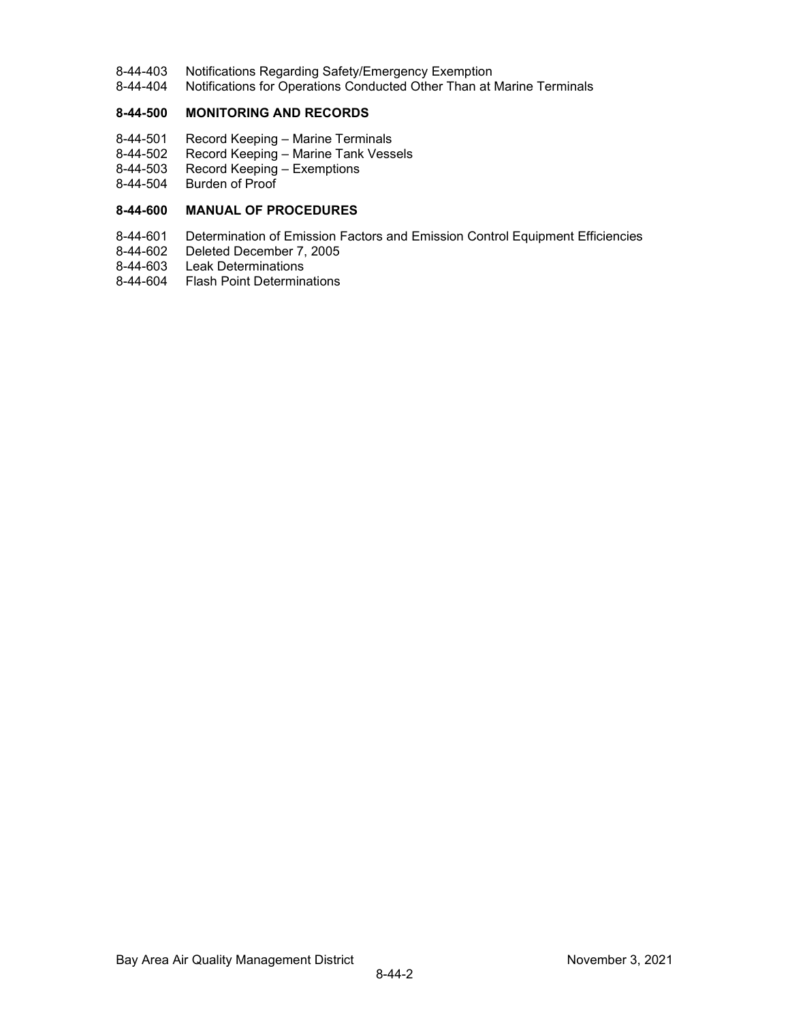- 8-44-403 Notifications Regarding Safety/Emergency Exemption<br>8-44-404 Notifications for Operations Conducted Other Than at I
- Notifications for Operations Conducted Other Than at Marine Terminals

#### **8-44-500 MONITORING AND RECORDS**

- 8-44-501 Record Keeping Marine Terminals
- 8-44-502 Record Keeping Marine Tank Vessels<br>8-44-503 Record Keeping Exemptions
- 8-44-503 Record Keeping Exemptions<br>8-44-504 Burden of Proof
- Burden of Proof

#### **8-44-600 MANUAL OF PROCEDURES**

- 8-44-601 Determination of Emission Factors and Emission Control Equipment Efficiencies<br>8-44-602 Deleted December 7, 2005
- 8-44-602 Deleted December 7, 2005<br>8-44-603 Leak Determinations
- **Leak Determinations**
- 8-44-604 Flash Point Determinations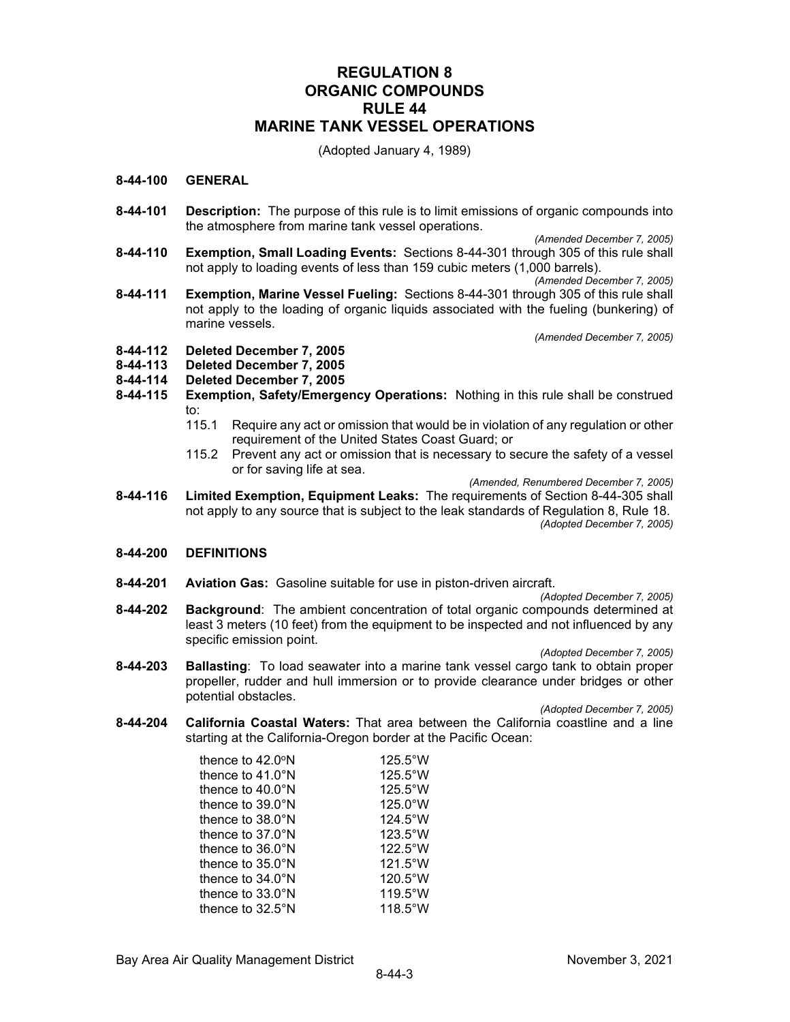## **REGULATION 8 ORGANIC COMPOUNDS RULE 44 MARINE TANK VESSEL OPERATIONS**

(Adopted January 4, 1989)

#### **8-44-100 GENERAL**

- **8-44-101 Description:** The purpose of this rule is to limit emissions of organic compounds into the atmosphere from marine tank vessel operations.
- *(Amended December 7, 2005)* **8-44-110 Exemption, Small Loading Events:** Sections 8-44-301 through 305 of this rule shall not apply to loading events of less than 159 cubic meters (1,000 barrels).

*(Amended December 7, 2005)*

**8-44-111 Exemption, Marine Vessel Fueling:** Sections 8-44-301 through 305 of this rule shall not apply to the loading of organic liquids associated with the fueling (bunkering) of marine vessels.

*(Amended December 7, 2005)*

- **8-44-112 Deleted December 7, 2005**
- **8-44-113 Deleted December 7, 2005**
- **8-44-114 Deleted December 7, 2005**
- **8-44-115 Exemption, Safety/Emergency Operations:** Nothing in this rule shall be construed to:
	- 115.1 Require any act or omission that would be in violation of any regulation or other requirement of the United States Coast Guard; or
	- 115.2 Prevent any act or omission that is necessary to secure the safety of a vessel or for saving life at sea.

*(Amended, Renumbered December 7, 2005)*

**8-44-116 Limited Exemption, Equipment Leaks:** The requirements of Section 8-44-305 shall not apply to any source that is subject to the leak standards of Regulation 8, Rule 18. *(Adopted December 7, 2005)*

#### **8-44-200 DEFINITIONS**

**8-44-201 Aviation Gas:** Gasoline suitable for use in piston-driven aircraft.

*(Adopted December 7, 2005)*

**8-44-202 Background**: The ambient concentration of total organic compounds determined at least 3 meters (10 feet) from the equipment to be inspected and not influenced by any specific emission point.

*(Adopted December 7, 2005)*

**8-44-203 Ballasting**: To load seawater into a marine tank vessel cargo tank to obtain proper propeller, rudder and hull immersion or to provide clearance under bridges or other potential obstacles.

*(Adopted December 7, 2005)*

**8-44-204 California Coastal Waters:** That area between the California coastline and a line starting at the California-Oregon border at the Pacific Ocean:

| thence to $42.0^\circ$ N   | $125.5^{\circ}$ W |
|----------------------------|-------------------|
| thence to $41.0^\circ$ N   | $125.5^{\circ}$ W |
| thence to $40.0^\circ$ N   | $125.5^{\circ}$ W |
| thence to $39.0^\circ$ N   | $125.0^{\circ}$ W |
| thence to $38.0^\circ$ N   | $124.5^{\circ}$ W |
| thence to $37.0^\circ$ N   | $123.5^{\circ}$ W |
| thence to $36.0^\circ$ N   | $122.5^{\circ}$ W |
| thence to $35.0^{\circ}$ N | $121.5^{\circ}$ W |
| thence to $34.0^\circ$ N   | 120.5°W           |
| thence to $33.0^\circ$ N   | $119.5^{\circ}$ W |
| thence to 32.5°N           | $118.5^{\circ}$ W |

Bay Area Air Quality Management District November 3, 2021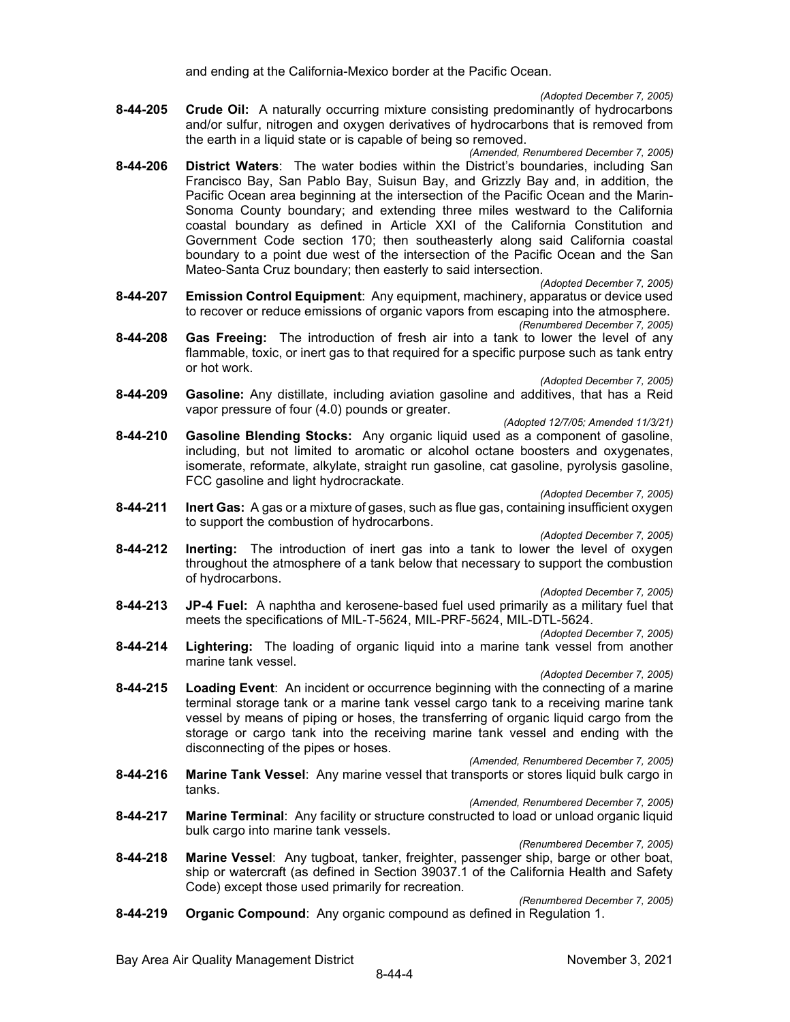and ending at the California-Mexico border at the Pacific Ocean.

*(Adopted December 7, 2005)*

- **8-44-205 Crude Oil:** A naturally occurring mixture consisting predominantly of hydrocarbons and/or sulfur, nitrogen and oxygen derivatives of hydrocarbons that is removed from the earth in a liquid state or is capable of being so removed.
	- *(Amended, Renumbered December 7, 2005)*
- **8-44-206 District Waters**: The water bodies within the District's boundaries, including San Francisco Bay, San Pablo Bay, Suisun Bay, and Grizzly Bay and, in addition, the Pacific Ocean area beginning at the intersection of the Pacific Ocean and the Marin-Sonoma County boundary; and extending three miles westward to the California coastal boundary as defined in Article XXI of the California Constitution and Government Code section 170; then southeasterly along said California coastal boundary to a point due west of the intersection of the Pacific Ocean and the San Mateo-Santa Cruz boundary; then easterly to said intersection.

*(Adopted December 7, 2005)*

- **8-44-207 Emission Control Equipment**: Any equipment, machinery, apparatus or device used to recover or reduce emissions of organic vapors from escaping into the atmosphere. *(Renumbered December 7, 2005)*
- **8-44-208 Gas Freeing:** The introduction of fresh air into a tank to lower the level of any flammable, toxic, or inert gas to that required for a specific purpose such as tank entry or hot work.

*(Adopted December 7, 2005)*

- **8-44-209 Gasoline:** Any distillate, including aviation gasoline and additives, that has a Reid vapor pressure of four (4.0) pounds or greater.
- *(Adopted 12/7/05; Amended 11/3/21)* **8-44-210 Gasoline Blending Stocks:** Any organic liquid used as a component of gasoline, including, but not limited to aromatic or alcohol octane boosters and oxygenates, isomerate, reformate, alkylate, straight run gasoline, cat gasoline, pyrolysis gasoline, FCC gasoline and light hydrocrackate.

*(Adopted December 7, 2005)*

**8-44-211 Inert Gas:** A gas or a mixture of gases, such as flue gas, containing insufficient oxygen to support the combustion of hydrocarbons.

*(Adopted December 7, 2005)*

**8-44-212 Inerting:** The introduction of inert gas into a tank to lower the level of oxygen throughout the atmosphere of a tank below that necessary to support the combustion of hydrocarbons.

*(Adopted December 7, 2005)*

- **8-44-213 JP-4 Fuel:** A naphtha and kerosene-based fuel used primarily as a military fuel that meets the specifications of MIL-T-5624, MIL-PRF-5624, MIL-DTL-5624.
- *(Adopted December 7, 2005)* **8-44-214 Lightering:** The loading of organic liquid into a marine tank vessel from another marine tank vessel.

*(Adopted December 7, 2005)*

**8-44-215 Loading Event**: An incident or occurrence beginning with the connecting of a marine terminal storage tank or a marine tank vessel cargo tank to a receiving marine tank vessel by means of piping or hoses, the transferring of organic liquid cargo from the storage or cargo tank into the receiving marine tank vessel and ending with the disconnecting of the pipes or hoses.

*(Amended, Renumbered December 7, 2005)*

**8-44-216 Marine Tank Vessel**: Any marine vessel that transports or stores liquid bulk cargo in tanks.

*(Amended, Renumbered December 7, 2005)*

- **8-44-217 Marine Terminal**: Any facility or structure constructed to load or unload organic liquid bulk cargo into marine tank vessels.
- **8-44-218 Marine Vessel**: Any tugboat, tanker, freighter, passenger ship, barge or other boat, ship or watercraft (as defined in Section 39037.1 of the California Health and Safety Code) except those used primarily for recreation.

*(Renumbered December 7, 2005)*

*(Renumbered December 7, 2005)*

**8-44-219 Organic Compound**: Any organic compound as defined in Regulation 1.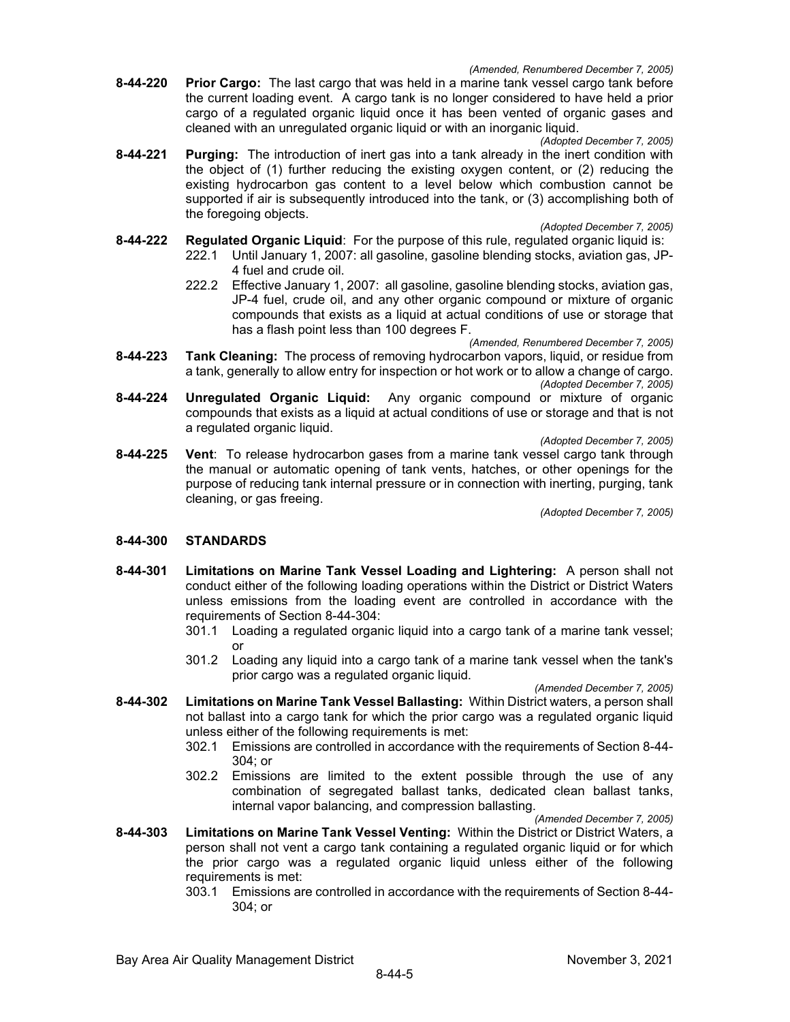- **8-44-220 Prior Cargo:** The last cargo that was held in a marine tank vessel cargo tank before the current loading event. A cargo tank is no longer considered to have held a prior cargo of a regulated organic liquid once it has been vented of organic gases and cleaned with an unregulated organic liquid or with an inorganic liquid.
- *(Adopted December 7, 2005)* **8-44-221 Purging:** The introduction of inert gas into a tank already in the inert condition with the object of (1) further reducing the existing oxygen content, or (2) reducing the existing hydrocarbon gas content to a level below which combustion cannot be supported if air is subsequently introduced into the tank, or (3) accomplishing both of the foregoing objects.

*(Adopted December 7, 2005)*

- **8-44-222 Regulated Organic Liquid**: For the purpose of this rule, regulated organic liquid is:
	- 222.1 Until January 1, 2007: all gasoline, gasoline blending stocks, aviation gas, JP-4 fuel and crude oil.
	- 222.2 Effective January 1, 2007: all gasoline, gasoline blending stocks, aviation gas, JP-4 fuel, crude oil, and any other organic compound or mixture of organic compounds that exists as a liquid at actual conditions of use or storage that has a flash point less than 100 degrees F.

*(Amended, Renumbered December 7, 2005)*

- **8-44-223 Tank Cleaning:** The process of removing hydrocarbon vapors, liquid, or residue from a tank, generally to allow entry for inspection or hot work or to allow a change of cargo. *(Adopted December 7, 2005)*
- **8-44-224 Unregulated Organic Liquid:** Any organic compound or mixture of organic compounds that exists as a liquid at actual conditions of use or storage and that is not a regulated organic liquid.

*(Adopted December 7, 2005)*

**8-44-225 Vent**: To release hydrocarbon gases from a marine tank vessel cargo tank through the manual or automatic opening of tank vents, hatches, or other openings for the purpose of reducing tank internal pressure or in connection with inerting, purging, tank cleaning, or gas freeing.

*(Adopted December 7, 2005)*

#### **8-44-300 STANDARDS**

- **8-44-301 Limitations on Marine Tank Vessel Loading and Lightering:** A person shall not conduct either of the following loading operations within the District or District Waters unless emissions from the loading event are controlled in accordance with the requirements of Section 8-44-304:
	- 301.1 Loading a regulated organic liquid into a cargo tank of a marine tank vessel; or
	- 301.2 Loading any liquid into a cargo tank of a marine tank vessel when the tank's prior cargo was a regulated organic liquid.

*(Amended December 7, 2005)*

- **8-44-302 Limitations on Marine Tank Vessel Ballasting:** Within District waters, a person shall not ballast into a cargo tank for which the prior cargo was a regulated organic liquid unless either of the following requirements is met:
	- 302.1 Emissions are controlled in accordance with the requirements of Section 8-44- 304; or
	- 302.2 Emissions are limited to the extent possible through the use of any combination of segregated ballast tanks, dedicated clean ballast tanks, internal vapor balancing, and compression ballasting.

*(Amended December 7, 2005)*

- **8-44-303 Limitations on Marine Tank Vessel Venting:** Within the District or District Waters, a person shall not vent a cargo tank containing a regulated organic liquid or for which the prior cargo was a regulated organic liquid unless either of the following requirements is met:
	- 303.1 Emissions are controlled in accordance with the requirements of Section 8-44- 304; or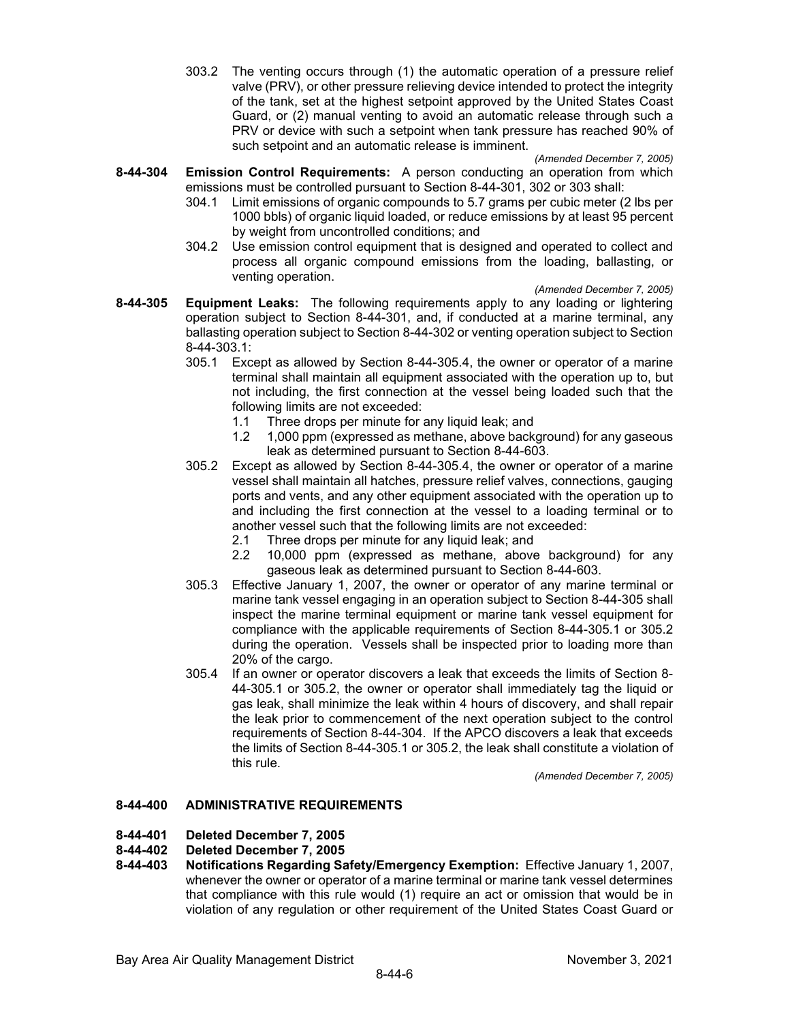303.2 The venting occurs through (1) the automatic operation of a pressure relief valve (PRV), or other pressure relieving device intended to protect the integrity of the tank, set at the highest setpoint approved by the United States Coast Guard, or (2) manual venting to avoid an automatic release through such a PRV or device with such a setpoint when tank pressure has reached 90% of such setpoint and an automatic release is imminent.

*(Amended December 7, 2005)*

- **8-44-304 Emission Control Requirements:** A person conducting an operation from which emissions must be controlled pursuant to Section 8-44-301, 302 or 303 shall:
	- 304.1 Limit emissions of organic compounds to 5.7 grams per cubic meter (2 lbs per 1000 bbls) of organic liquid loaded, or reduce emissions by at least 95 percent by weight from uncontrolled conditions; and
	- 304.2 Use emission control equipment that is designed and operated to collect and process all organic compound emissions from the loading, ballasting, or venting operation.

*(Amended December 7, 2005)*

- **8-44-305 Equipment Leaks:** The following requirements apply to any loading or lightering operation subject to Section 8-44-301, and, if conducted at a marine terminal, any ballasting operation subject to Section 8-44-302 or venting operation subject to Section 8-44-303.1:
	- 305.1 Except as allowed by Section 8-44-305.4, the owner or operator of a marine terminal shall maintain all equipment associated with the operation up to, but not including, the first connection at the vessel being loaded such that the following limits are not exceeded:
		- 1.1 Three drops per minute for any liquid leak; and
		- 1.2 1,000 ppm (expressed as methane, above background) for any gaseous leak as determined pursuant to Section 8-44-603.
	- 305.2 Except as allowed by Section 8-44-305.4, the owner or operator of a marine vessel shall maintain all hatches, pressure relief valves, connections, gauging ports and vents, and any other equipment associated with the operation up to and including the first connection at the vessel to a loading terminal or to another vessel such that the following limits are not exceeded:
		- 2.1 Three drops per minute for any liquid leak; and
		- 2.2 10,000 ppm (expressed as methane, above background) for any gaseous leak as determined pursuant to Section 8-44-603.
	- 305.3 Effective January 1, 2007, the owner or operator of any marine terminal or marine tank vessel engaging in an operation subject to Section 8-44-305 shall inspect the marine terminal equipment or marine tank vessel equipment for compliance with the applicable requirements of Section 8-44-305.1 or 305.2 during the operation. Vessels shall be inspected prior to loading more than 20% of the cargo.
	- 305.4 If an owner or operator discovers a leak that exceeds the limits of Section 8- 44-305.1 or 305.2, the owner or operator shall immediately tag the liquid or gas leak, shall minimize the leak within 4 hours of discovery, and shall repair the leak prior to commencement of the next operation subject to the control requirements of Section 8-44-304. If the APCO discovers a leak that exceeds the limits of Section 8-44-305.1 or 305.2, the leak shall constitute a violation of this rule.

*(Amended December 7, 2005)*

#### **8-44-400 ADMINISTRATIVE REQUIREMENTS**

**8-44-401 Deleted December 7, 2005**

# **8-44-402 Deleted December 7, 2005**

**8-44-403 Notifications Regarding Safety/Emergency Exemption:** Effective January 1, 2007, whenever the owner or operator of a marine terminal or marine tank vessel determines that compliance with this rule would (1) require an act or omission that would be in violation of any regulation or other requirement of the United States Coast Guard or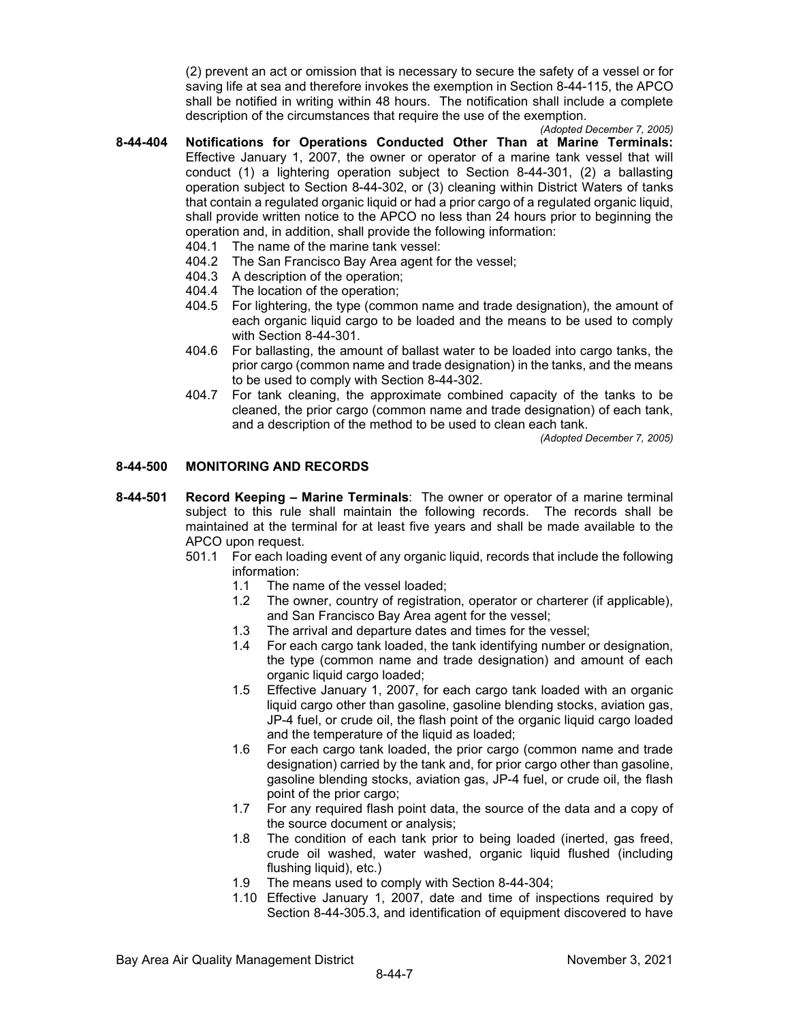(2) prevent an act or omission that is necessary to secure the safety of a vessel or for saving life at sea and therefore invokes the exemption in Section 8-44-115, the APCO shall be notified in writing within 48 hours. The notification shall include a complete description of the circumstances that require the use of the exemption.

*(Adopted December 7, 2005)*

- **8-44-404 Notifications for Operations Conducted Other Than at Marine Terminals:** Effective January 1, 2007, the owner or operator of a marine tank vessel that will conduct (1) a lightering operation subject to Section 8-44-301, (2) a ballasting operation subject to Section 8-44-302, or (3) cleaning within District Waters of tanks that contain a regulated organic liquid or had a prior cargo of a regulated organic liquid, shall provide written notice to the APCO no less than 24 hours prior to beginning the operation and, in addition, shall provide the following information:
	- 404.1 The name of the marine tank vessel:
	- 404.2 The San Francisco Bay Area agent for the vessel;
	- 404.3 A description of the operation;<br>404.4 The location of the operation:
	- The location of the operation;
	- 404.5 For lightering, the type (common name and trade designation), the amount of each organic liquid cargo to be loaded and the means to be used to comply with Section 8-44-301.
	- 404.6 For ballasting, the amount of ballast water to be loaded into cargo tanks, the prior cargo (common name and trade designation) in the tanks, and the means to be used to comply with Section 8-44-302.
	- 404.7 For tank cleaning, the approximate combined capacity of the tanks to be cleaned, the prior cargo (common name and trade designation) of each tank, and a description of the method to be used to clean each tank.

*(Adopted December 7, 2005)*

#### **8-44-500 MONITORING AND RECORDS**

- **8-44-501 Record Keeping – Marine Terminals**: The owner or operator of a marine terminal subject to this rule shall maintain the following records. The records shall be maintained at the terminal for at least five years and shall be made available to the APCO upon request.
	- 501.1 For each loading event of any organic liquid, records that include the following information:
		- 1.1 The name of the vessel loaded;
		- 1.2 The owner, country of registration, operator or charterer (if applicable), and San Francisco Bay Area agent for the vessel;
		- 1.3 The arrival and departure dates and times for the vessel;
		- 1.4 For each cargo tank loaded, the tank identifying number or designation, the type (common name and trade designation) and amount of each organic liquid cargo loaded;
		- 1.5 Effective January 1, 2007, for each cargo tank loaded with an organic liquid cargo other than gasoline, gasoline blending stocks, aviation gas, JP-4 fuel, or crude oil, the flash point of the organic liquid cargo loaded and the temperature of the liquid as loaded;
		- 1.6 For each cargo tank loaded, the prior cargo (common name and trade designation) carried by the tank and, for prior cargo other than gasoline, gasoline blending stocks, aviation gas, JP-4 fuel, or crude oil, the flash point of the prior cargo;
		- 1.7 For any required flash point data, the source of the data and a copy of the source document or analysis;
		- 1.8 The condition of each tank prior to being loaded (inerted, gas freed, crude oil washed, water washed, organic liquid flushed (including flushing liquid), etc.)
		- 1.9 The means used to comply with Section 8-44-304;
		- 1.10 Effective January 1, 2007, date and time of inspections required by Section 8-44-305.3, and identification of equipment discovered to have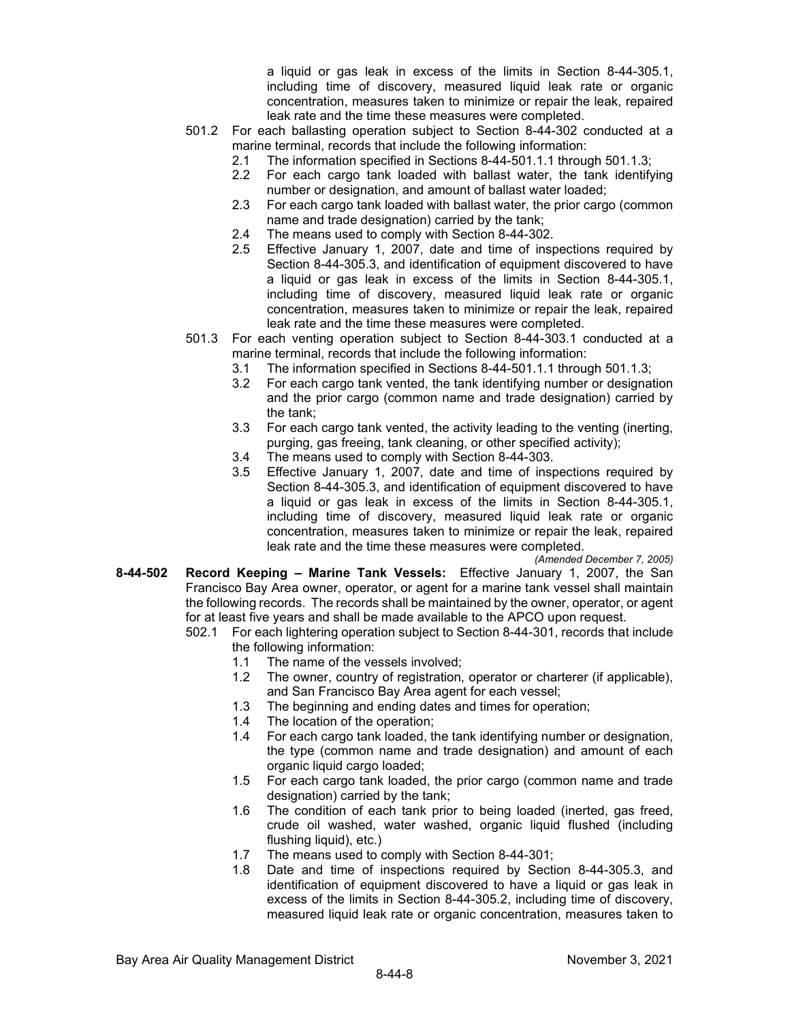a liquid or gas leak in excess of the limits in Section 8-44-305.1, including time of discovery, measured liquid leak rate or organic concentration, measures taken to minimize or repair the leak, repaired leak rate and the time these measures were completed.

- 501.2 For each ballasting operation subject to Section 8-44-302 conducted at a marine terminal, records that include the following information:
	- 2.1 The information specified in Sections 8-44-501.1.1 through 501.1.3;
	- 2.2 For each cargo tank loaded with ballast water, the tank identifying number or designation, and amount of ballast water loaded;
	- 2.3 For each cargo tank loaded with ballast water, the prior cargo (common name and trade designation) carried by the tank;
	- 2.4 The means used to comply with Section 8-44-302.
	- 2.5 Effective January 1, 2007, date and time of inspections required by Section 8-44-305.3, and identification of equipment discovered to have a liquid or gas leak in excess of the limits in Section 8-44-305.1, including time of discovery, measured liquid leak rate or organic concentration, measures taken to minimize or repair the leak, repaired leak rate and the time these measures were completed.
- 501.3 For each venting operation subject to Section 8-44-303.1 conducted at a marine terminal, records that include the following information:
	- 3.1 The information specified in Sections 8-44-501.1.1 through 501.1.3;
	- 3.2 For each cargo tank vented, the tank identifying number or designation and the prior cargo (common name and trade designation) carried by the tank;
	- 3.3 For each cargo tank vented, the activity leading to the venting (inerting, purging, gas freeing, tank cleaning, or other specified activity);
	- 3.4 The means used to comply with Section 8-44-303.
	- 3.5 Effective January 1, 2007, date and time of inspections required by Section 8-44-305.3, and identification of equipment discovered to have a liquid or gas leak in excess of the limits in Section 8-44-305.1, including time of discovery, measured liquid leak rate or organic concentration, measures taken to minimize or repair the leak, repaired leak rate and the time these measures were completed.

*(Amended December 7, 2005)*

- **8-44-502 Record Keeping – Marine Tank Vessels:** Effective January 1, 2007, the San Francisco Bay Area owner, operator, or agent for a marine tank vessel shall maintain the following records. The records shall be maintained by the owner, operator, or agent for at least five years and shall be made available to the APCO upon request.
	- 502.1 For each lightering operation subject to Section 8-44-301, records that include the following information:
		- 1.1 The name of the vessels involved;
		- 1.2 The owner, country of registration, operator or charterer (if applicable), and San Francisco Bay Area agent for each vessel;
		- 1.3 The beginning and ending dates and times for operation;
		- 1.4 The location of the operation;
		- 1.4 For each cargo tank loaded, the tank identifying number or designation, the type (common name and trade designation) and amount of each organic liquid cargo loaded;
		- 1.5 For each cargo tank loaded, the prior cargo (common name and trade designation) carried by the tank;
		- 1.6 The condition of each tank prior to being loaded (inerted, gas freed, crude oil washed, water washed, organic liquid flushed (including flushing liquid), etc.)
		- 1.7 The means used to comply with Section 8-44-301;
		- 1.8 Date and time of inspections required by Section 8-44-305.3, and identification of equipment discovered to have a liquid or gas leak in excess of the limits in Section 8-44-305.2, including time of discovery, measured liquid leak rate or organic concentration, measures taken to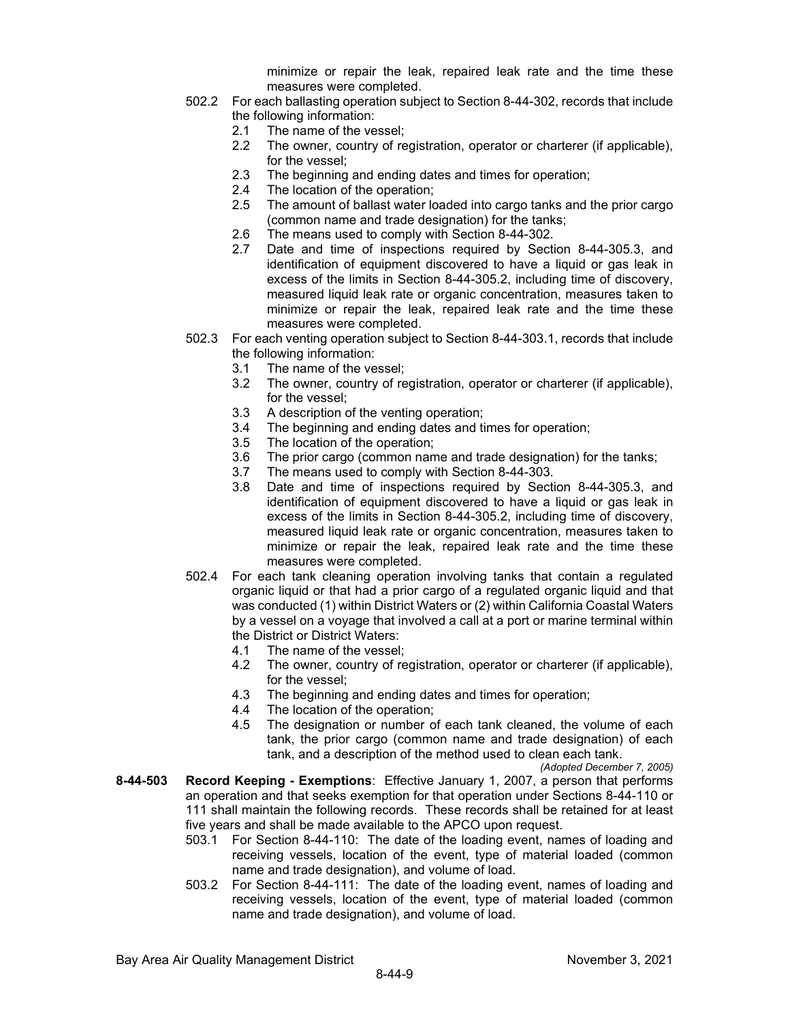minimize or repair the leak, repaired leak rate and the time these measures were completed.

- 502.2 For each ballasting operation subject to Section 8-44-302, records that include the following information:
	- 2.1 The name of the vessel;
	- 2.2 The owner, country of registration, operator or charterer (if applicable), for the vessel;
	- 2.3 The beginning and ending dates and times for operation;
	- 2.4 The location of the operation;
	- 2.5 The amount of ballast water loaded into cargo tanks and the prior cargo (common name and trade designation) for the tanks;
	- 2.6 The means used to comply with Section 8-44-302.
	- 2.7 Date and time of inspections required by Section 8-44-305.3, and identification of equipment discovered to have a liquid or gas leak in excess of the limits in Section 8-44-305.2, including time of discovery, measured liquid leak rate or organic concentration, measures taken to minimize or repair the leak, repaired leak rate and the time these measures were completed.
- 502.3 For each venting operation subject to Section 8-44-303.1, records that include the following information:
	- 3.1 The name of the vessel;
	- 3.2 The owner, country of registration, operator or charterer (if applicable), for the vessel;
	- 3.3 A description of the venting operation;
	- 3.4 The beginning and ending dates and times for operation;
	- 3.5 The location of the operation;
	- 3.6 The prior cargo (common name and trade designation) for the tanks;
	- 3.7 The means used to comply with Section 8-44-303.
	- 3.8 Date and time of inspections required by Section 8-44-305.3, and identification of equipment discovered to have a liquid or gas leak in excess of the limits in Section 8-44-305.2, including time of discovery, measured liquid leak rate or organic concentration, measures taken to minimize or repair the leak, repaired leak rate and the time these measures were completed.
- 502.4 For each tank cleaning operation involving tanks that contain a regulated organic liquid or that had a prior cargo of a regulated organic liquid and that was conducted (1) within District Waters or (2) within California Coastal Waters by a vessel on a voyage that involved a call at a port or marine terminal within the District or District Waters:
	- 4.1 The name of the vessel;
	- 4.2 The owner, country of registration, operator or charterer (if applicable), for the vessel;
	- 4.3 The beginning and ending dates and times for operation;
	- 4.4 The location of the operation;<br>4.5 The designation or number of
	- The designation or number of each tank cleaned, the volume of each tank, the prior cargo (common name and trade designation) of each tank, and a description of the method used to clean each tank.

*(Adopted December 7, 2005)*

- **8-44-503 Record Keeping - Exemptions**: Effective January 1, 2007, a person that performs an operation and that seeks exemption for that operation under Sections 8-44-110 or 111 shall maintain the following records. These records shall be retained for at least five years and shall be made available to the APCO upon request.
	- 503.1 For Section 8-44-110: The date of the loading event, names of loading and receiving vessels, location of the event, type of material loaded (common name and trade designation), and volume of load.
	- 503.2 For Section 8-44-111: The date of the loading event, names of loading and receiving vessels, location of the event, type of material loaded (common name and trade designation), and volume of load.